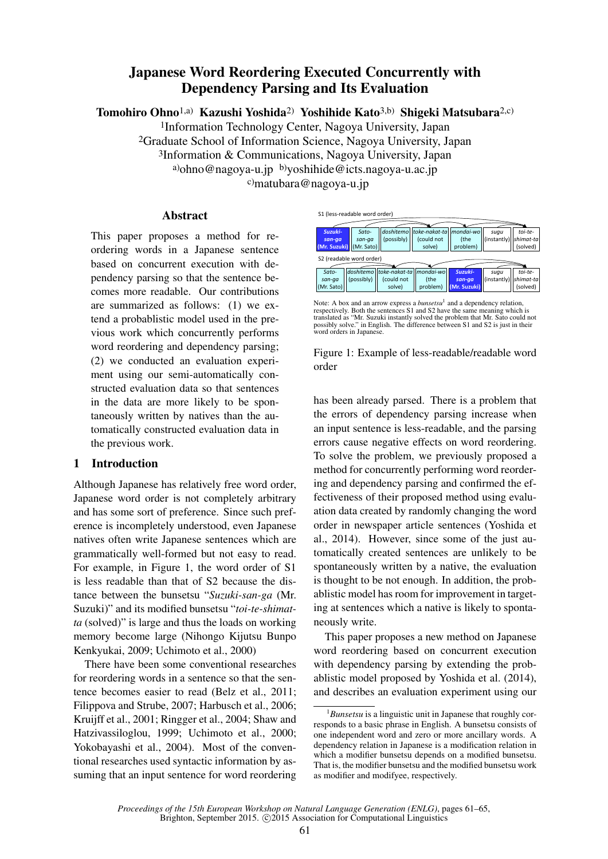# Japanese Word Reordering Executed Concurrently with Dependency Parsing and Its Evaluation

Tomohiro Ohno1,a) Kazushi Yoshida2) Yoshihide Kato3,b) Shigeki Matsubara2,c)

1Information Technology Center, Nagoya University, Japan 2Graduate School of Information Science, Nagoya University, Japan 3Information & Communications, Nagoya University, Japan a)ohno@nagoya-u.jp b)yoshihide@icts.nagoya-u.ac.jp c)matubara@nagoya-u.jp

# Abstract

This paper proposes a method for reordering words in a Japanese sentence based on concurrent execution with dependency parsing so that the sentence becomes more readable. Our contributions are summarized as follows: (1) we extend a probablistic model used in the previous work which concurrently performs word reordering and dependency parsing; (2) we conducted an evaluation experiment using our semi-automatically constructed evaluation data so that sentences in the data are more likely to be spontaneously written by natives than the automatically constructed evaluation data in the previous work.

# 1 Introduction

Although Japanese has relatively free word order, Japanese word order is not completely arbitrary and has some sort of preference. Since such preference is incompletely understood, even Japanese natives often write Japanese sentences which are grammatically well-formed but not easy to read. For example, in Figure 1, the word order of S1 is less readable than that of S2 because the distance between the bunsetsu "*Suzuki-san-ga* (Mr. Suzuki)" and its modified bunsetsu "*toi-te-shimatta* (solved)" is large and thus the loads on working memory become large (Nihongo Kijutsu Bunpo Kenkyukai, 2009; Uchimoto et al., 2000)

There have been some conventional researches for reordering words in a sentence so that the sentence becomes easier to read (Belz et al., 2011; Filippova and Strube, 2007; Harbusch et al., 2006; Kruijff et al., 2001; Ringger et al., 2004; Shaw and Hatzivassiloglou, 1999; Uchimoto et al., 2000; Yokobayashi et al., 2004). Most of the conventional researches used syntactic information by assuming that an input sentence for word reordering



Note: A box and an arrow express a *bunsetsu*<sup>1</sup> and a dependency relation, respectively. Both the sentences S1 and S2 have the same meaning which is<br>translated as "Mr. Suzuki instantly solved the problem that Mr. Sato could not<br>possibly solve." in English. The difference between S1 and S2 is just word orders in Japanese.

|       | Figure 1: Example of less-readable/readable word |  |  |
|-------|--------------------------------------------------|--|--|
| order |                                                  |  |  |

has been already parsed. There is a problem that the errors of dependency parsing increase when an input sentence is less-readable, and the parsing errors cause negative effects on word reordering. To solve the problem, we previously proposed a method for concurrently performing word reordering and dependency parsing and confirmed the effectiveness of their proposed method using evaluation data created by randomly changing the word order in newspaper article sentences (Yoshida et al., 2014). However, since some of the just automatically created sentences are unlikely to be spontaneously written by a native, the evaluation is thought to be not enough. In addition, the probablistic model has room for improvement in targeting at sentences which a native is likely to spontaneously write.

This paper proposes a new method on Japanese word reordering based on concurrent execution with dependency parsing by extending the probablistic model proposed by Yoshida et al. (2014), and describes an evaluation experiment using our

<sup>1</sup>*Bunsetsu* is a linguistic unit in Japanese that roughly corresponds to a basic phrase in English. A bunsetsu consists of one independent word and zero or more ancillary words. A dependency relation in Japanese is a modification relation in which a modifier bunsetsu depends on a modified bunsetsu. That is, the modifier bunsetsu and the modified bunsetsu work as modifier and modifyee, respectively.

*Proceedings of the 15th European Workshop on Natural Language Generation (ENLG)*, pages 61–65, Brighton, September 2015. © 2015 Association for Computational Linguistics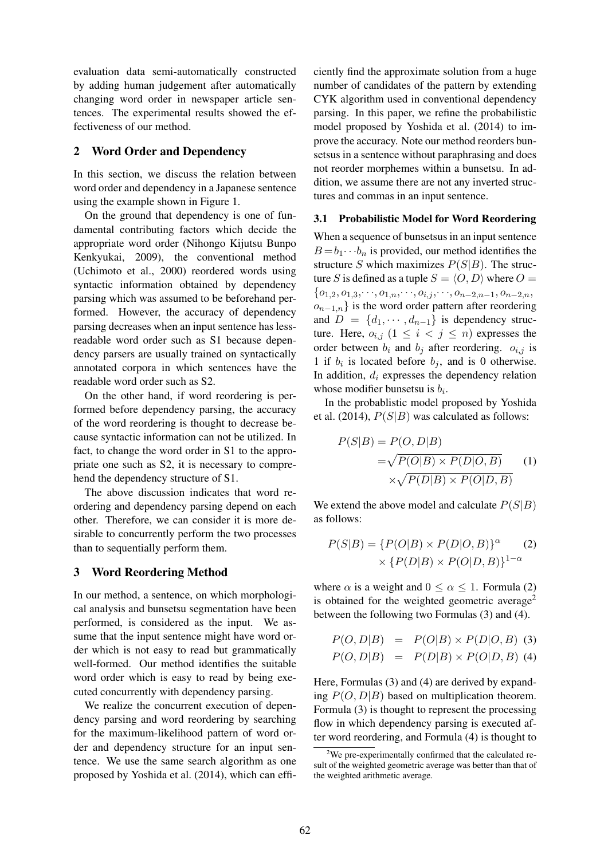evaluation data semi-automatically constructed by adding human judgement after automatically changing word order in newspaper article sentences. The experimental results showed the effectiveness of our method.

# 2 Word Order and Dependency

In this section, we discuss the relation between word order and dependency in a Japanese sentence using the example shown in Figure 1.

On the ground that dependency is one of fundamental contributing factors which decide the appropriate word order (Nihongo Kijutsu Bunpo Kenkyukai, 2009), the conventional method (Uchimoto et al., 2000) reordered words using syntactic information obtained by dependency parsing which was assumed to be beforehand performed. However, the accuracy of dependency parsing decreases when an input sentence has lessreadable word order such as S1 because dependency parsers are usually trained on syntactically annotated corpora in which sentences have the readable word order such as S2.

On the other hand, if word reordering is performed before dependency parsing, the accuracy of the word reordering is thought to decrease because syntactic information can not be utilized. In fact, to change the word order in S1 to the appropriate one such as S2, it is necessary to comprehend the dependency structure of S1.

The above discussion indicates that word reordering and dependency parsing depend on each other. Therefore, we can consider it is more desirable to concurrently perform the two processes than to sequentially perform them.

# 3 Word Reordering Method

In our method, a sentence, on which morphological analysis and bunsetsu segmentation have been performed, is considered as the input. We assume that the input sentence might have word order which is not easy to read but grammatically well-formed. Our method identifies the suitable word order which is easy to read by being executed concurrently with dependency parsing.

We realize the concurrent execution of dependency parsing and word reordering by searching for the maximum-likelihood pattern of word order and dependency structure for an input sentence. We use the same search algorithm as one proposed by Yoshida et al. (2014), which can efficiently find the approximate solution from a huge number of candidates of the pattern by extending CYK algorithm used in conventional dependency parsing. In this paper, we refine the probabilistic model proposed by Yoshida et al. (2014) to improve the accuracy. Note our method reorders bunsetsus in a sentence without paraphrasing and does not reorder morphemes within a bunsetsu. In addition, we assume there are not any inverted structures and commas in an input sentence.

# 3.1 Probabilistic Model for Word Reordering

When a sequence of bunsetsus in an input sentence  $B = b_1 \cdots b_n$  is provided, our method identifies the structure S which maximizes  $P(S|B)$ . The structure S is defined as a tuple  $S = \langle O, D \rangle$  where  $O =$  ${o_{1,2}, o_{1,3}, \dots, o_{1,n}, \dots, o_{i,j}, \dots, o_{n-2,n-1}, o_{n-2,n}},$  $o_{n-1,n}$ } is the word order pattern after reordering and  $D = \{d_1, \dots, d_{n-1}\}\$ is dependency structure. Here,  $o_{i,j}$   $(1 \leq i \leq j \leq n)$  expresses the order between  $b_i$  and  $b_j$  after reordering.  $o_{i,j}$  is 1 if  $b_i$  is located before  $b_j$ , and is 0 otherwise. In addition,  $d_i$  expresses the dependency relation whose modifier bunsetsu is  $b_i$ .

In the probablistic model proposed by Yoshida et al. (2014),  $P(S|B)$  was calculated as follows:

$$
P(S|B) = P(O, D|B)
$$
  
=  $\sqrt{P(O|B) \times P(D|O, B)}$  (1)  
 $\times \sqrt{P(D|B) \times P(O|D, B)}$ 

We extend the above model and calculate  $P(S|B)$ as follows:

$$
P(S|B) = \{P(O|B) \times P(D|O,B)\}^{\alpha}
$$
  
 
$$
\times \{P(D|B) \times P(O|D,B)\}^{1-\alpha}
$$

where  $\alpha$  is a weight and  $0 \leq \alpha \leq 1$ . Formula (2) is obtained for the weighted geometric average<sup>2</sup> between the following two Formulas (3) and (4).

$$
P(O, D|B) = P(O|B) \times P(D|O, B)
$$
 (3)  

$$
P(O, D|B) = P(D|B) \times P(O|D, B)
$$
 (4)

Here, Formulas (3) and (4) are derived by expanding  $P(O, D|B)$  based on multiplication theorem. Formula (3) is thought to represent the processing flow in which dependency parsing is executed after word reordering, and Formula (4) is thought to

 $2$ We pre-experimentally confirmed that the calculated result of the weighted geometric average was better than that of the weighted arithmetic average.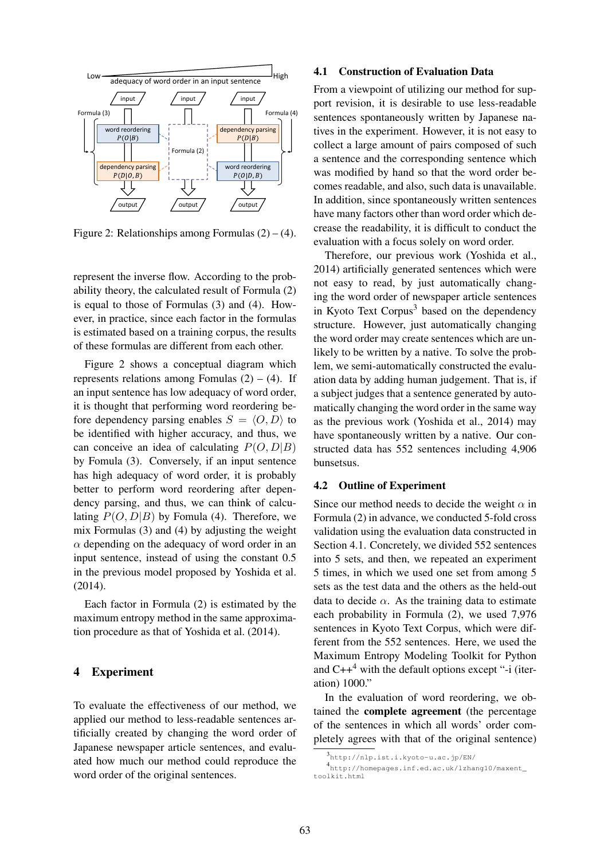

Figure 2: Relationships among Formulas  $(2) - (4)$ .

represent the inverse flow. According to the probability theory, the calculated result of Formula (2) is equal to those of Formulas (3) and (4). However, in practice, since each factor in the formulas is estimated based on a training corpus, the results of these formulas are different from each other.

Figure 2 shows a conceptual diagram which represents relations among Fomulas  $(2) - (4)$ . If an input sentence has low adequacy of word order, it is thought that performing word reordering before dependency parsing enables  $S = \langle O, D \rangle$  to be identified with higher accuracy, and thus, we can conceive an idea of calculating  $P(O, D|B)$ by Fomula (3). Conversely, if an input sentence has high adequacy of word order, it is probably better to perform word reordering after dependency parsing, and thus, we can think of calculating  $P(O, D|B)$  by Fomula (4). Therefore, we mix Formulas (3) and (4) by adjusting the weight  $\alpha$  depending on the adequacy of word order in an input sentence, instead of using the constant 0.5 in the previous model proposed by Yoshida et al. (2014).

Each factor in Formula (2) is estimated by the maximum entropy method in the same approximation procedure as that of Yoshida et al. (2014).

#### 4 Experiment

To evaluate the effectiveness of our method, we applied our method to less-readable sentences artificially created by changing the word order of Japanese newspaper article sentences, and evaluated how much our method could reproduce the word order of the original sentences.

#### 4.1 Construction of Evaluation Data

From a viewpoint of utilizing our method for support revision, it is desirable to use less-readable sentences spontaneously written by Japanese natives in the experiment. However, it is not easy to collect a large amount of pairs composed of such a sentence and the corresponding sentence which was modified by hand so that the word order becomes readable, and also, such data is unavailable. In addition, since spontaneously written sentences have many factors other than word order which decrease the readability, it is difficult to conduct the evaluation with a focus solely on word order.

Therefore, our previous work (Yoshida et al., 2014) artificially generated sentences which were not easy to read, by just automatically changing the word order of newspaper article sentences in Kyoto Text Corpus<sup>3</sup> based on the dependency structure. However, just automatically changing the word order may create sentences which are unlikely to be written by a native. To solve the problem, we semi-automatically constructed the evaluation data by adding human judgement. That is, if a subject judges that a sentence generated by automatically changing the word order in the same way as the previous work (Yoshida et al., 2014) may have spontaneously written by a native. Our constructed data has 552 sentences including 4,906 bunsetsus.

#### 4.2 Outline of Experiment

Since our method needs to decide the weight  $\alpha$  in Formula (2) in advance, we conducted 5-fold cross validation using the evaluation data constructed in Section 4.1. Concretely, we divided 552 sentences into 5 sets, and then, we repeated an experiment 5 times, in which we used one set from among 5 sets as the test data and the others as the held-out data to decide  $\alpha$ . As the training data to estimate each probability in Formula (2), we used 7,976 sentences in Kyoto Text Corpus, which were different from the 552 sentences. Here, we used the Maximum Entropy Modeling Toolkit for Python and  $C++^4$  with the default options except "-i (iteration) 1000."

In the evaluation of word reordering, we obtained the complete agreement (the percentage of the sentences in which all words' order completely agrees with that of the original sentence)

<sup>3</sup> http://nlp.ist.i.kyoto-u.ac.jp/EN/

<sup>4</sup> http://homepages.inf.ed.ac.uk/lzhang10/maxent\_ toolkit.html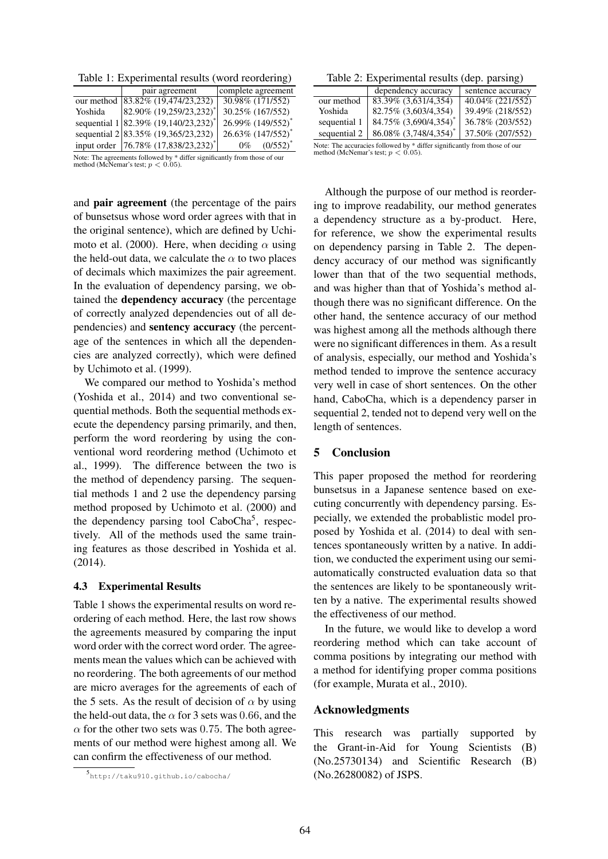Table 1: Experimental results (word reordering)

|                                                                                                                                                                       | pair agreement                                   | complete agreement |  |  |
|-----------------------------------------------------------------------------------------------------------------------------------------------------------------------|--------------------------------------------------|--------------------|--|--|
|                                                                                                                                                                       | our method 83.82% (19,474/23,232)                | 30.98% (171/552)   |  |  |
| Yoshida                                                                                                                                                               | 82.90% (19,259/23,232) <sup>*</sup>              | 30.25% (167/552)   |  |  |
|                                                                                                                                                                       | sequential 1 82.39% (19,140/23,232) <sup>*</sup> | 26.99% (149/552)*  |  |  |
|                                                                                                                                                                       | sequential 2 83.35% (19,365/23,232)              | 26.63% (147/552)*  |  |  |
|                                                                                                                                                                       | input order 76.78% (17,838/23,232) <sup>*</sup>  | $0\%$ $(0/552)^*$  |  |  |
| $\mathbf{M}_{\text{max}}$ . The communication of $\mathbf{L}_{\text{max}}$ is the $\Phi$ of $\mathbf{M}_{\text{max}}$ in the contraction of $\mathbf{L}_{\text{max}}$ |                                                  |                    |  |  |

Note: The agreements followed by  $*$  differ significantly from those of our method (McNemar's test;  $p < 0.05$ ).

and pair agreement (the percentage of the pairs of bunsetsus whose word order agrees with that in the original sentence), which are defined by Uchimoto et al. (2000). Here, when deciding  $\alpha$  using the held-out data, we calculate the  $\alpha$  to two places of decimals which maximizes the pair agreement. In the evaluation of dependency parsing, we obtained the dependency accuracy (the percentage of correctly analyzed dependencies out of all dependencies) and sentency accuracy (the percentage of the sentences in which all the dependencies are analyzed correctly), which were defined by Uchimoto et al. (1999).

We compared our method to Yoshida's method (Yoshida et al., 2014) and two conventional sequential methods. Both the sequential methods execute the dependency parsing primarily, and then, perform the word reordering by using the conventional word reordering method (Uchimoto et al., 1999). The difference between the two is the method of dependency parsing. The sequential methods 1 and 2 use the dependency parsing method proposed by Uchimoto et al. (2000) and the dependency parsing tool CaboCha<sup>5</sup>, respectively. All of the methods used the same training features as those described in Yoshida et al. (2014).

# 4.3 Experimental Results

Table 1 shows the experimental results on word reordering of each method. Here, the last row shows the agreements measured by comparing the input word order with the correct word order. The agreements mean the values which can be achieved with no reordering. The both agreements of our method are micro averages for the agreements of each of the 5 sets. As the result of decision of  $\alpha$  by using the held-out data, the  $\alpha$  for 3 sets was 0.66, and the  $\alpha$  for the other two sets was 0.75. The both agreements of our method were highest among all. We can confirm the effectiveness of our method.

Table 2: Experimental results (dep. parsing)

| $\frac{1}{2}$                              |                                                                                                                                                                                                                                    |                   |  |  |
|--------------------------------------------|------------------------------------------------------------------------------------------------------------------------------------------------------------------------------------------------------------------------------------|-------------------|--|--|
|                                            | dependency accuracy                                                                                                                                                                                                                | sentence accuracy |  |  |
| our method                                 | 83.39% (3,631/4,354)                                                                                                                                                                                                               | 40.04% (221/552)  |  |  |
| Yoshida                                    | 82.75% (3,603/4,354)                                                                                                                                                                                                               | 39.49% (218/552)  |  |  |
| sequential 1                               | 84.75% (3,690/4,354) <sup>*</sup>                                                                                                                                                                                                  | 36.78% (203/552)  |  |  |
| sequential 2                               | 86.08% (3,748/4,354)*                                                                                                                                                                                                              | 37.50% (207/552)  |  |  |
| $\mathbf{v}$ , and the set of $\mathbf{v}$ | $\mathcal{L}$ . The state of the state of the state of the state of the state of the state of the state of the state of the state of the state of the state of the state of the state of the state of the state of the state of th |                   |  |  |

uracies followed by  $*$  differ significantly from those of our method (McNemar's test;  $p < 0.05$ ).

Although the purpose of our method is reordering to improve readability, our method generates a dependency structure as a by-product. Here, for reference, we show the experimental results on dependency parsing in Table 2. The dependency accuracy of our method was significantly lower than that of the two sequential methods, and was higher than that of Yoshida's method although there was no significant difference. On the other hand, the sentence accuracy of our method was highest among all the methods although there were no significant differences in them. As a result of analysis, especially, our method and Yoshida's method tended to improve the sentence accuracy very well in case of short sentences. On the other hand, CaboCha, which is a dependency parser in sequential 2, tended not to depend very well on the length of sentences.

# 5 Conclusion

This paper proposed the method for reordering bunsetsus in a Japanese sentence based on executing concurrently with dependency parsing. Especially, we extended the probablistic model proposed by Yoshida et al. (2014) to deal with sentences spontaneously written by a native. In addition, we conducted the experiment using our semiautomatically constructed evaluation data so that the sentences are likely to be spontaneously written by a native. The experimental results showed the effectiveness of our method.

In the future, we would like to develop a word reordering method which can take account of comma positions by integrating our method with a method for identifying proper comma positions (for example, Murata et al., 2010).

# Acknowledgments

This research was partially supported by the Grant-in-Aid for Young Scientists (B) (No.25730134) and Scientific Research (B) (No.26280082) of JSPS.

<sup>5</sup> http://taku910.github.io/cabocha/